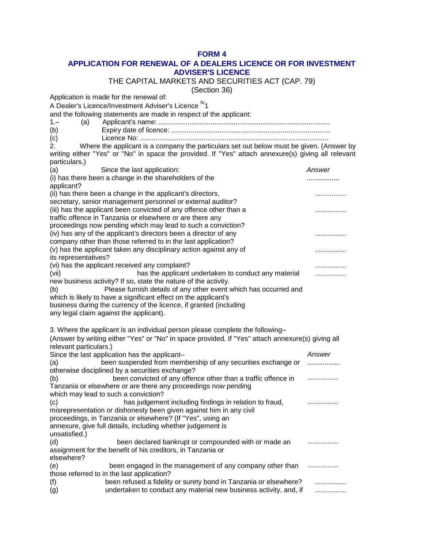## **FORM 4**

## **APPLICATION FOR RENEWAL OF A DEALERS LICENCE OR FOR INVESTMENT ADVISER'S LICENCE**

THE CAPITAL MARKETS AND SECURITIES ACT (CAP. 79)

(Section 36)

Application is made for the renewal of: A Dealer's Licence/Investment Adviser's Licence <sup>iv</sup>1

and the following statements are made in respect of the applicant:

1.– (a) Applicant's name: .........................................................................................

(b) Expiry date of licence: ...................................................................................

(c) Licence No: ..................................................................................................

 $2.$  Where the applicant is a company the particulars set out below must be given. (Answer by writing either "Yes" or "No" in space the provided. If "Yes" attach annexure(s) giving all relevant particulars.)

| <sub>.</sub><br>(a)                                                                                                        | Since the last application:                                                                                                         | Answer |
|----------------------------------------------------------------------------------------------------------------------------|-------------------------------------------------------------------------------------------------------------------------------------|--------|
|                                                                                                                            | (i) has there been a change in the shareholders of the                                                                              | .      |
| applicant?                                                                                                                 |                                                                                                                                     |        |
|                                                                                                                            | (ii) has there been a change in the applicant's directors,<br>secretary, senior management personnel or external auditor?           | .      |
|                                                                                                                            | (iii) has the applicant been convicted of any offence other than a                                                                  |        |
| traffic offence in Tanzania or elsewhere or are there any                                                                  |                                                                                                                                     |        |
|                                                                                                                            | proceedings now pending which may lead to such a conviction?                                                                        |        |
|                                                                                                                            | (iv) has any of the applicant's directors been a director of any                                                                    | .      |
|                                                                                                                            | company other than those referred to in the last application?                                                                       |        |
|                                                                                                                            | (v) has the applicant taken any disciplinary action against any of                                                                  | .      |
| its representatives?                                                                                                       |                                                                                                                                     |        |
|                                                                                                                            | (vi) has the applicant received any complaint?                                                                                      |        |
| (vii)                                                                                                                      | has the applicant undertaken to conduct any material                                                                                | .      |
|                                                                                                                            | new business activity? If so, state the nature of the activity.<br>Please furnish details of any other event which has occurred and |        |
| (b)                                                                                                                        | which is likely to have a significant effect on the applicant's                                                                     |        |
| business during the currency of the licence, if granted (including                                                         |                                                                                                                                     |        |
|                                                                                                                            | any legal claim against the applicant).                                                                                             |        |
|                                                                                                                            |                                                                                                                                     |        |
|                                                                                                                            | 3. Where the applicant is an individual person please complete the following-                                                       |        |
| (Answer by writing either "Yes" or "No" in space provided. If "Yes" attach annexure(s) giving all                          |                                                                                                                                     |        |
| relevant particulars.)                                                                                                     |                                                                                                                                     |        |
|                                                                                                                            | Since the last application has the applicant-                                                                                       | Answer |
| (a)                                                                                                                        | been suspended from membership of any securities exchange or                                                                        |        |
|                                                                                                                            | otherwise disciplined by a securities exchange?                                                                                     |        |
| (b)                                                                                                                        | been convicted of any offence other than a traffic offence in<br>Tanzania or elsewhere or are there any proceedings now pending     |        |
|                                                                                                                            | which may lead to such a conviction?                                                                                                |        |
| (c)                                                                                                                        | has judgement including findings in relation to fraud,                                                                              | .      |
|                                                                                                                            | misrepresentation or dishonesty been given against him in any civil                                                                 |        |
|                                                                                                                            | proceedings, in Tanzania or elsewhere? (If "Yes", using an                                                                          |        |
|                                                                                                                            | annexure, give full details, including whether judgement is                                                                         |        |
| unsatisfied.)                                                                                                              |                                                                                                                                     |        |
| (d)                                                                                                                        | been declared bankrupt or compounded with or made an                                                                                |        |
|                                                                                                                            | assignment for the benefit of his creditors, in Tanzania or                                                                         |        |
| elsewhere?                                                                                                                 |                                                                                                                                     |        |
| (e)                                                                                                                        | been engaged in the management of any company other than                                                                            | .      |
| those referred to in the last application?<br>been refused a fidelity or surety bond in Tanzania or elsewhere?<br>(f)<br>. |                                                                                                                                     |        |
| (g)                                                                                                                        | undertaken to conduct any material new business activity, and, if                                                                   | .      |
|                                                                                                                            |                                                                                                                                     |        |